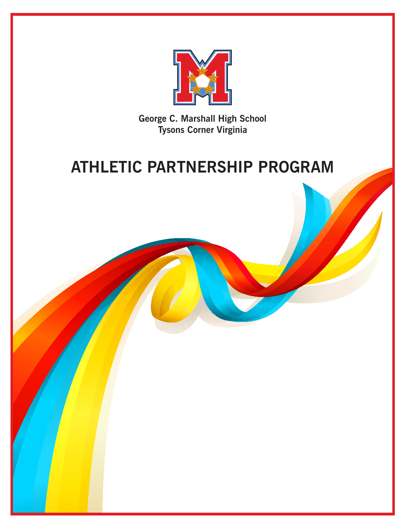

**George C. Marshall High School Tysons Corner Virginia**

# **ATHLETIC PARTNERSHIP PROGRAM**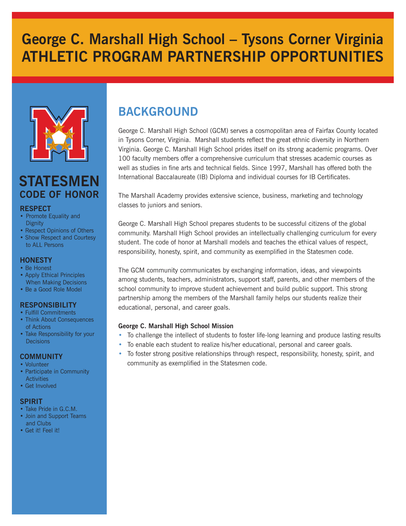# **George C. Marshall High School – Tysons Corner Virginia ATHLETIC PROGRAM PARTNERSHIP OPPORTUNITIES**



## **STATESMEN CODE OF HONOR**

### **RESPECT**

- Promote Equality and **Dignity**
- Respect Opinions of Others
- Show Respect and Courtesy to ALL Persons

### **HONESTY**

- Be Honest
- Apply Ethical Principles When Making Decisions
- Be a Good Role Model

### **RESPONSIBILITY**

- Fulfill Commitments
- Think About Consequences of Actions
- Take Responsibility for your **Decisions**

### **COMMUNITY**

- Volunteer
- Participate in Community **Activities**
- Get Involved

### **SPIRIT**

- Take Pride in G.C.M.
- Join and Support Teams and Clubs
- Get it! Feel it!

## **BACKGROUND**

George C. Marshall High School (GCM) serves a cosmopolitan area of Fairfax County located in Tysons Corner, Virginia. Marshall students reflect the great ethnic diversity in Northern Virginia. George C. Marshall High School prides itself on its strong academic programs. Over 100 faculty members offer a comprehensive curriculum that stresses academic courses as well as studies in fine arts and technical fields. Since 1997, Marshall has offered both the International Baccalaureate (IB) Diploma and individual courses for IB Certificates.

The Marshall Academy provides extensive science, business, marketing and technology classes to juniors and seniors.

George C. Marshall High School prepares students to be successful citizens of the global community. Marshall High School provides an intellectually challenging curriculum for every student. The code of honor at Marshall models and teaches the ethical values of respect, responsibility, honesty, spirit, and community as exemplified in the Statesmen code.

The GCM community communicates by exchanging information, ideas, and viewpoints among students, teachers, administrators, support staff, parents, and other members of the school community to improve student achievement and build public support. This strong partnership among the members of the Marshall family helps our students realize their educational, personal, and career goals.

### **George C. Marshall High School Mission**

- To challenge the intellect of students to foster life-long learning and produce lasting results
- To enable each student to realize his/her educational, personal and career goals.
- To foster strong positive relationships through respect, responsibility, honesty, spirit, and community as exemplified in the Statesmen code.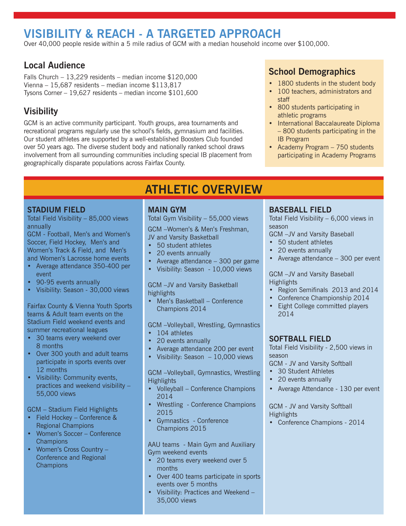## **VISIBILITY & REACH - A TARGETED APPROACH**

Over 40,000 people reside within a 5 mile radius of GCM with a median household income over \$100,000.

### **Local Audience**

Falls Church – 13,229 residents – median income \$120,000 Vienna – 15,687 residents – median income \$113,817 Tysons Corner – 19,627 residents – median income \$101,600

## **Visibility**

GCM is an active community participant. Youth groups, area tournaments and recreational programs regularly use the school's fields, gymnasium and facilities. Our student athletes are supported by a well-established Boosters Club founded over 50 years ago. The diverse student body and nationally ranked school draws involvement from all surrounding communities including special IB placement from geographically disparate populations across Fairfax County.

## **School Demographics**

- 1800 students in the student body
- 100 teachers, administrators and staff
- 800 students participating in athletic programs
- International Baccalaureate Diploma – 800 students participating in the IB Program
- Academy Program 750 students participating in Academy Programs

### **STADIUM FIELD**

Total Field Visibility – 85,000 views annually

GCM - Football, Men's and Women's Soccer, Field Hockey, Men's and Women's Track & Field, and Men's and Women's Lacrosse home events

- • Average attendance 350-400 per event
- 90-95 events annually
- Visibility: Season 30,000 views

Fairfax County & Vienna Youth Sports teams & Adult team events on the Stadium Field weekend events and summer recreational leagues

- 30 teams every weekend over 8 months
- Over 300 youth and adult teams participate in sports events over 12 months
- • Visibility: Community events, practices and weekend visibility – 55,000 views

GCM – Stadium Field Highlights

- Field Hockey Conference & Regional Champions
- Women's Soccer Conference **Champions**
- • Women's Cross Country Conference and Regional **Champions**

### **MAIN GYM**

Total Gym Visibility – 55,000 views

**ATHLETIC OVERVIEW**

GCM –Women's & Men's Freshman, JV and Varsity Basketball

- • 50 student athletes
- 20 events annually
- Average attendance  $-300$  per game
- Visibility: Season 10,000 views

GCM –JV and Varsity Basketball highlights

• Men's Basketball – Conference Champions 2014

GCM –Volleyball, Wrestling, Gymnastics

- 104 athletes
- 20 events annually
- Average attendance 200 per event
- Visibility: Season  $-10,000$  views

GCM –Volleyball, Gymnastics, Wrestling **Highlights** 

- Volleyball Conference Champions 2014
- Wrestling Conference Champions 2015
- • Gymnastics Conference Champions 2015

AAU teams - Main Gym and Auxiliary Gym weekend events

- 20 teams every weekend over 5 months
- • Over 400 teams participate in sports events over 5 months
- • Visibility: Practices and Weekend 35,000 views

### **BASEBALL FIELD**

Total Field Visibility – 6,000 views in season GCM –JV and Varsity Baseball

- 
- 50 student athletes
- 20 events annually
- Average attendance 300 per event

GCM –JV and Varsity Baseball **Highlights** 

- • Region Semifinals 2013 and 2014
- Conference Championship 2014
- Eight College committed players 2014

### **SOFTBALL FIELD**

Total Field Visibility - 2,500 views in season

GCM - JV and Varsity Softball

- 30 Student Athletes
- 20 events annually
- Average Attendance 130 per event

GCM - JV and Varsity Softball **Highlights** 

• Conference Champions - 2014